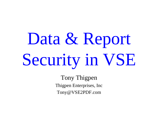# Data & Report Security in VSE

Tony Thigpen Thigpen Enterprises, Inc Tony@VSE2PDF.com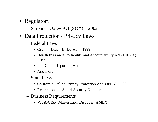- Regulatory
	- Sarbanes Oxley Act (SOX) 2002
- Data Protection / Privacy Laws
	- Federal Laws
		- Gramm-Leach-Bliley Act 1999
		- Health Insurance Portability and Accountability Act (HIPAA) – 1996
		- Fair Credit Reporting Act
		- And more
	- State Laws
		- California Online Privacy Protection Act (OPPA) 2003
		- Restrictions on Social Security Numbers
	- Business Requirements
		- VISA-CISP, MasterCard, Discover, AMEX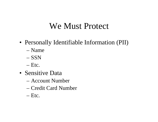#### We Must Protect

- Personally Identifiable Information (PII)
	- Name
	- SSN
	- Etc.
- Sensitive Data
	- –Account Number
	- –Credit Card Number
	- Etc.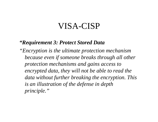#### VISA-CISP

#### *"Requirement 3: Protect Stored Data*

*"Encryption is the ultimate protection mechanism because even if someone breaks through all other protection mechanisms and gains access to encrypted data, they will not be able to read the data without further breaking the encryption. This is an illustration of the defense in depth principle."*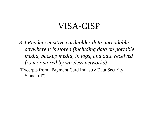#### VISA-CISP

*3.4 Render sensitive cardholder data unreadable anywhere it is stored (including data on portable media, backup media, in logs, and data received from or stored by wireless networks)…*

(Excerpts from "Payment Card Industry Data Security Standard")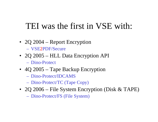#### TEI was the first in VSE with:

- 2Q 2004 Report Encryption – VSE2PDF/Secure
- 2Q 2005 HLL Data Encryption API –Dino-Protect
- 4Q 2005 Tape Backup Encryption
	- –Dino-Protect/IDCAMS
	- Dino-Protect/TC (Tape Copy)
- 2Q 2006 File System Encryption (Disk & TAPE)

– Dino-Protect/FS (File System)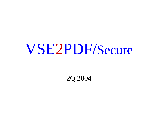## VSE2PDF/Secure

2Q 2004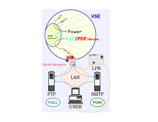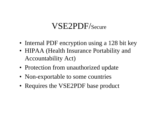#### VSE2PDF/Secure

- Internal PDF encryption using a 128 bit key
- HIPAA (Health Insurance Portability and Accountability Act)
- Protection from unauthorized update
- Non-exportable to some countries
- Requires the VSE2PDF base product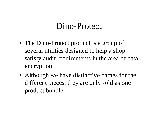#### Dino-Protect

- The Dino-Protect product is a group of several utilities designed to help a shop satisfy audit requirements in the area of data encryption
- Although we have distinctive names for the different pieces, they are only sold as one product bundle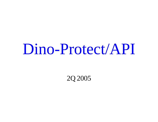2Q 2005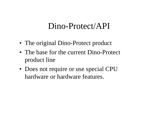- The original Dino-Protect product
- The base for the current Dino-Protect product line
- Does not require or use special CPU hardware or hardware features.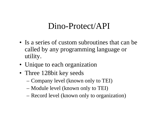- Is a series of custom subroutines that can be called by any programming language or utility.
- Unique to each organization
- Three 128bit key seeds
	- Company level (known only to TEI)
	- Module level (known only to TEI)
	- Record level (known only to organization)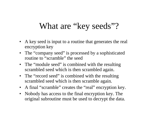#### What are "key seeds"?

- A key seed is input to a routine that generates the real encryption key
- The "company seed" is processed by a sophisticated routine to "scramble" the seed
- The "module seed" is combined with the resulting scrambled seed which is then scrambled again.
- The "record seed" is combined with the resulting scrambled seed which is then scramble again.
- A final "scramble" creates the "real" encryption key.
- Nobody has access to the final encryption key. The original subroutine must be used to decrypt the data.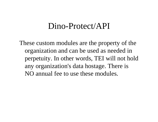These custom modules are the property of the organization and can be used as needed in perpetuity. In other words, TEI will not hold any organization's data hostage. There is NO annual fee to use these modules.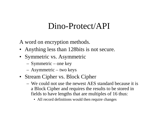A word on encryption methods.

- Anything less than 128 bits is not secure.
- Symmetric vs. Asymmetric
	- Symmetric one key
	- Asymmetric two keys
- Stream Cipher vs. Block Cipher
	- We could not use the newest AES standard because it is a Block Cipher and requires the results to be stored in fields to have lengths that are multiples of 16 thus:
		- All record definitions would then require changes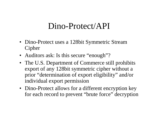- Dino-Protect uses a 128bit Symmetric Stream Cipher
- Auditors ask: Is this secure "enough"?
- The U.S. Department of Commerce still prohibits export of any 128bit symmetric cipher without a prior "determination of export eligibility" and/or individual export permission
- Dino-Protect allows for a different encryption key for each record to prevent "brute force" decryption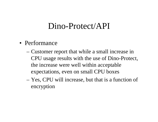- Performance
	- Customer report that while a small increase in CPU usage results with the use of Dino-Protect, the increase were well within acceptable expectations, even on small CPU boxes
	- Yes, CPU will increase, but that is a function of encryption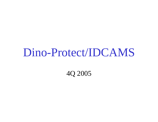4Q 2005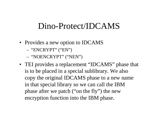- Provides a new option to IDCAMS
	- "ENCRYPT" (" E N ,, )
	- "NOENCRYPT" ("NEN")
- TEI provides a replacement "IDCAMS" phase that is to be placed in a special sublibrary. We also copy the original IDCAMS phase to a new name in that special library so we can call the IBM phase after we patch ("on the fly") the new encryption function into the IBM phase.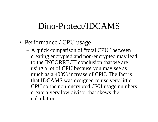- Performance / CPU usage
	- A quick comparison of "total CPU" between creating encrypted and non-encrypted may lead to the INCORRECT conclusion that we are using a lot of CPU because you may see as much as a 400% increase of CPU. The fact is that IDCAMS was designed to use very little CPU so the non-encrypted CPU usage numbers create a very low divisor that skews the calculation.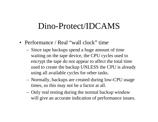- Performance / Real "wall clock" time
	- Since tape backups spend a huge amount of time waiting on the tape device, the CPU cycles used to encrypt the tape do not appear to affect the total time used to create the backup UNLESS the CPU is already using all available cycles for other tasks.
	- Normally, backups are created during low-CPU usage times, so this may not be a factor at all.
	- Only real testing during the normal backup window will give an accurate indication of performance issues.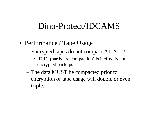- Performance / Tape Usage
	- Encrypted tapes do not compact AT ALL!
		- **IDRC** (hardware compaction) is ineffective on encrypted backups.
	- The data MUST be compacted prior to encryption or tape usage will double or even triple.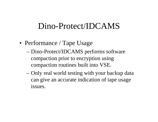- Performance / Tape Usage
	- Dino-Protect/IDCAMS performs software compaction prior to encryption using compaction routines built into VSE.
	- Only real world testing with your backup data can give an accurate indication of tape usage issues.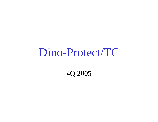### Dino-Protect/TC

4Q 2005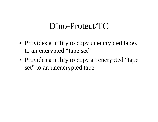#### Dino-Protect/TC

- Provides a utility to copy unencrypted tapes to an encrypted "tape set"
- Provides a utility to copy an encrypted "tape set" to an unencrypted tape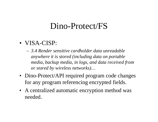- VISA-CISP:
	- *3.4 Render sensitive cardholder data unreadable anywhere it is stored (including data on portable media, backup media, in logs, and data received from or stored by wireless networks)…*
- Dino-Protect/API required program code changes for any program referencing encrypted fields.
- A centralized automatic encryption method was needed.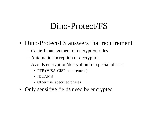- Dino-Protect/FS answers that requirement
	- Central management of encryption rules
	- Automatic encryption or decryption
	- Avoids encryption/decryption for special phases
		- FTP (VISA-CISP requirement)
		- IDCAMS
		- Other user specified phases
- Only sensitive fields need be encrypted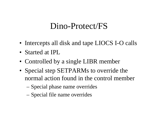- Intercepts all disk and tape LIOCS I-O calls
- Started at IPL
- Controlled by a single LIBR member
- Special step SETPARMs to override the normal action found in the control member
	- Special phase name overrides
	- Special file name overrides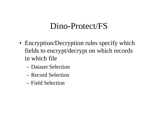- Encryption/Decryption rules specify which fields to encrypt/decrypt on which records in which file
	- –Dataset Selection
	- –Record Selection
	- –Field Selection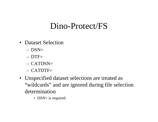- •Dataset Selection
	- DSN=
	- DTF=
	- –CATDSN=
	- –CATDTF=
- Unspecified dataset selections are treated as "wildcards" and are ignored during file selection determination
	- DSN= is required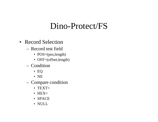- Record Selection
	- –Record test field
		- POS=(pos,length)
		- OFF=(offset,length)
	- –Condition
		- E Q
		- N E
	- Compare condition
		- TEXT=
		- HEX=
		- SPACE
		- NULL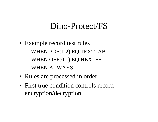- Example record test rules
	- WHEN P OS(1,2) EQ TEXT=AB
	- WHEN OFF(0,1) EQ HEX=FF
	- –WHEN ALWAYS
- Rules are processed in order
- First true condition controls record encryption/decryption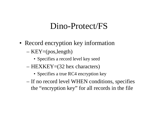- Record encryption key information
	- KEY=(pos,length)
		- Specifies a record level key seed
	- HEXKEY=(32 hex characters)
		- Specifies a true RC4 encryption key
	- If no record level WHEN conditions, specifies the "encryption key" for all records in the file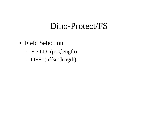- Field Selection
	- FIELD=(pos,length)
	- OFF=(offset,length)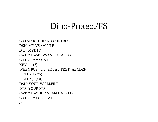CATALOG TEIDINO.CONTROL DSN=MY.VSAM.FILEDTF=MYDTFCATDSN=MY.VSAM.CATALOGCATDTF=MYCAT $KEY=(1,16)$ WHEN POS=(2,2) EQUAL TEXT=ABCDEF FIELD=(17,25) FIELD=(50,50) DSN=YOUR.VSAM.FILEDTF=YOURDTFCATDSN=YOUR.VSAM.CATALOGCATDTF=YOURCAT $/+$